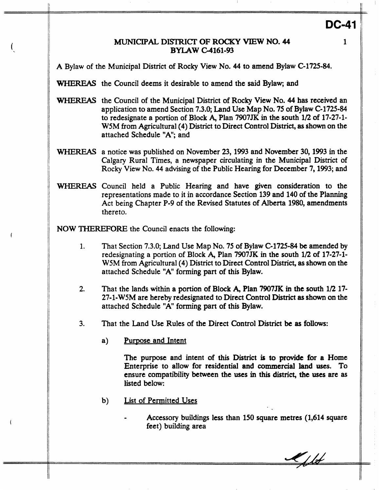### *MUNICIPAL* DISTRICI' **OF ROCKY VIEW NO. 44 BYIAW C4161-93**

**1** 

**DC-41** 

A Bylaw of the Municipal District of Rocky View No. **44** to amend Bylaw **C-1725-84.** 

WHEREAS the Council deems it desirable to amend the said Bylaw; and

- WHEREAS the Council of the Municipal District of Rocky View No. **44** has received **an**  application to amend Section **7.3.0;** Land Use Map No. **75** of Bylaw **C-1725-84**  to redesignate a portion of Block **A,** Plan **7907JK** in the south **112** of **17-27-1- WSM** from Agricultural **(4)** District to Direct Control District, **as** shown on the attached Schedule **"A";** and
- WHEXEAS a notice was published on November **23,1993** and November **30,1993** in the Calgary Rural Times, a newspaper circulating in the Municipal District of Rocky View No. **44** advising of the Public Hearing for December **7,1993;** and
- WHEREAS Council held a Public Hearing and have given consideration to the representations made to it in accordance Section **139** and **140 of** the Planning Act being Chapter P-9 of the Revised Statutes of Alberta **1980,** amendments thereto.

**NOW THEREFORE** the Council enacts the following:

- 1. That Section **7.3.0;** Land **Use** Map No. **75** of Bylaw **C-1725-84** be amended by redesignating a portion of Block **A,** Plan **7907JK** in the south **1/2** of **17-27-1- W5M** from Agricultural **(4)** District to Direct Control District, **as** shown on the attached Schedule "A" forming part of this Bylaw.
- **2.** That the lands within **a** portion of Block **A,** Plan **7907JK** in **the** south **1/2 17- 27-1-WSM** are hereby redesignated to Direct Control District **as** shown on the attached Schedule "A" forming part of this Bylaw.
- **3.** That the Land Use Rules of the Direct Control District be **as follows:** 
	- a) Purpose and Intent

The purpose and intent of **this** District is **to** provide for **a** Home Enterprise to allow for residential and commercial land uses. To ensure compatibility between the uses in **this** district, **the uses** are **as**  listed below:

- b) List of Permitted Uses
	- *<sup>0</sup>*Accessory buildings less than **150** square metres **(1,614** square feet) building area

 $\mathscr{M}/\mathscr{A}$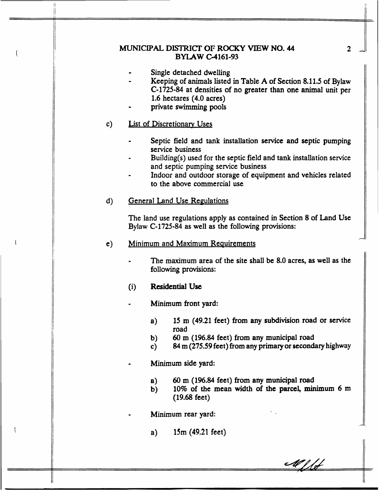# MUNICIPAL **DISTRICI' OF ROCKY VIEW NO. 44 BYLAW C-4161-93**

- Single detached dwelling
- *<sup>0</sup>*Keeping of animals listed in Table A of Section **8.11.5** of Bylaw **C-1725-84** at densities of no greater than **one** animal unit per **1.6** hectares **(4.0** acres)
- private **swimming** pools

#### $c)$ List of Discretionarv Uses

- Septic field and tank installation service and septic pumping service business
- Building(s) used for the septic field and tank installation service and septic pumping service business *0*
- Indoor and outdoor storage of equipment and vehicles related to the above commercial use *0*

#### $\mathbf{d}$ **General Land Use Regulations**

The land use regulations apply as contained in Section **8** of Land Use Bylaw **C-1725-84** as well as the following provisions:

- $e)$ Minimum and **Maximum** Reauirements
	- *<sup>0</sup>*The maximum area of the site shall be **8.0** acres, **as** well as the following provisions:
	- (i) Residential **Use**

**Minimum front yard:** 

- **a) 15** m **(49.21** feet) from any subdivision road or sewice road
- b) 60 m **(196.84** feet) from any municipal road
- c) *84* **m** *(275.59* feet) from any primary or **secondary** highway

Minimum side yard:

- a) 60 m **(196.84** feet) **from** any municipal road
- b) **10%** of **the** mean width **of the** parcel, minimum **6** m **(19.68** feet)

**<sup>t</sup>**Minimum rear yard:

**a) 15m (49.21** feet)

 $\overline{2}$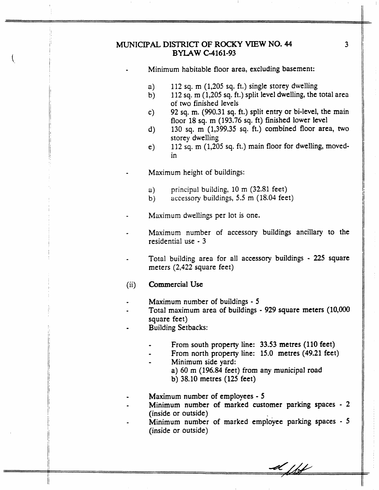### MUNICIPAL **DISTRICI' OF ROCKY VIEW NO. 44 BYLAW** C-4161-93

Minimum habitable floor area, excluding basement:

- a) 112 sq. m (1,205 sq. ft.) single storey dwelling
- b) 112 sq. m (1,205 **sq.** ft.) split level dwelling, the total area of two finished levels
- c) **92** sq. m. (990.31 sq. ft.) split entry or bi-level, the main floor 18 sq. m **(193.76 sq.** ft) finished lower level
- d) 130 sq. m (1,399.35 sq. ft.) combined floor area, two storey dwelling
- e) 112 **sq.** m (1,205 sq. ft.) main floor for dwelling, movedin
- Maximum height of buildings:
	- **a)**  principal building, 10 m **(32.51** feet)
	- b) accessory buildings, *5.5* m (18.04 feet)

Maximum dwellings per lot is one.

- Maximum number of accessory buildings ancillary to the residential use - **3**
- Total building area for all accessory buildings *225* square meters (2,422 square feet)
- (ii) Commercial **Use**
- Maximum number of buildings *5*
- Total maximum area of buildings **929** square meters (l0,OOO square feet)
- **Building Setbacks:**

 $\frac{1}{1}$ 

- From south property line: 33.53 metres (110 feet)
- From north property line: 15.0 metres (49.21 feet)
- *<sup>0</sup>*Minimum side yard:
	- **a)** 60 **rn (196.84** feet) **from** any municipal road
	- b) 38.10 metres **(125** feet)
- Maximum number of employees *5*
- Minimum number **of** marked customer parking spaces 2 (inside or outside)
- Minimum number of marked employee parking spaces *5*  (inside or outside)

d fff

3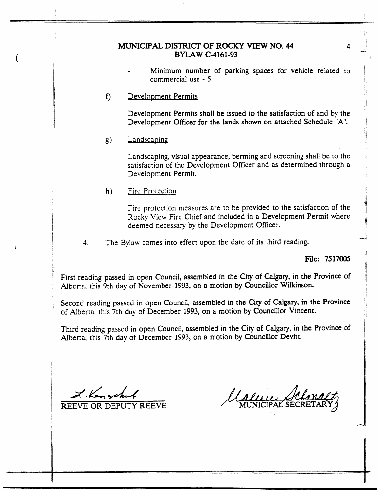## MUNICIPAL DISTRICI' **OF ROCKY VIEW NO. 44 BYLAW C-4161-93**

- Minimum number of parking spaces for vehicle related to commercial use - *5*
- $f$ Development Permits

Development Permits shall be issued to the satisfaction of and by the Development Officer for the lands shown on attached Schedule "A'.

**s>**  Landscaping

> Landscaping, visual appearance, berming and screening shall be to the satisfaction of the Development Officer and **as** determined through a Development Permit.

Fire Protection  $h)$ 

> Fire protection measures are to be provided to the satisfaction of the Rocky View Fire Chief and included in **a** Development Permit where **deemed** necessary by the Development Officer.

4. The Bylaw comes into effect upon the date of its third reading.

**File: 7517005** 

 $\parallel$ 

First reading passed in open Council, assembled in the City **of Calgary,** in **the Province** of Alberta, this 9th day of November 1993, on a motion by Councillor Wilkinson.

Second reading passed in open Council, assembled in the City of Calgary, in **the** Province of Alberta, this 7th **day** of December 1993, on a motion by Councillor Vincent.

Third reading **passed** in open Council, assembled in the City of Calgary, in the Province of Alberta, this 7th day of December 1993, on **a** motion by Councillor Devitt.

*ALs4L-4* 

**REEVE** OR DEPUTY **REEVE** 

Calle Ha

**4** 

I